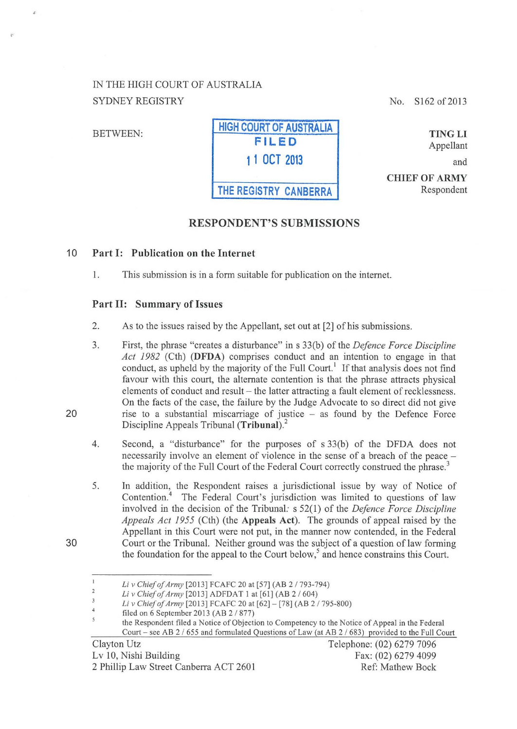# IN THE HIGH COURT OF AUSTRALIA SYDNEY REGISTRY

**BETWEEN:** 

20

30

| <b>HIGH COURT OF AUSTRALIA</b> |
|--------------------------------|
| <b>FILED</b>                   |
| 11 OCT 2013                    |
| THE REGISTRY CANBERRA          |

No. S162 of 2013

**TINGLI**  Appellant and

**CHIEF OF ARMY**  Respondent

### **RESPONDENT'S SUBMISSIONS**

#### 10 **Part I: Publication on the Internet**

1. This submission is in a form suitable for publication on the internet.

#### **Part II: Summary of Issues**

- 2. As to the issues raised by the Appellant, set out at (2] of his submissions.
- 3. First, the phrase "creates a disturbance" in s 33(b) of the *Defence Force Discipline Act 1982* (Cth) **(DFDA)** comprises conduct and an intention to engage in that conduct, as upheld by the majority of the Full Court.<sup>1</sup> If that analysis does not find favour with this court, the alternate contention is that the phrase attracts physical elements of conduct and result – the latter attracting a fault element of recklessness. On the facts of the case, the failure by the Judge Advocate to so direct did not give rise to a substantial miscarriage of justice - as found by the Defence Force Discipline Appeals Tribunal **(Tribunal).<sup>2</sup>**
- 4. Second, a "disturbance" for the purposes of s 33(b) of the DFDA does not necessarily involve an element of violence in the sense of a breach of the peace – the majority of the Full Court of the Federal Court correctly construed the phrase.<sup>3</sup>
- 5. In addition, the Respondent raises a jurisdictional issue by way of Notice of Contention.4 The Federal Court's jurisdiction was limited to questions of law involved in the decision of the Tribunal: s 52(1) of the *Defence Force Discipline Appeals Act 1955* (Cth) (the **Appeals Act).** The grounds of appeal raised by the Appellant in this Court were not put, in the manner now contended, in the Federal Court or the Tribunal. Neither ground was the subject of a question of law forming the foundation for the appeal to the Court below, 5 and hence constrains this Court.

*Li v Chief of Army* [2013) FCAFC 20 at [57] (AB 2 *I* 793-794)  $\overline{2}$ 

*Li v Chief of Army* [2013) ADFDAT 1 at [61) (AB 2 *I* 604)  $\overline{\mathbf{3}}$ 

*Li v Chief of Army* [20 13] FCAFC 20 at [62]- [78] (AB 2 *I* 795-800)

 $\overline{4}$ filed on 6 September 2013 (AB 2 / 877)

the Respondent filed a Notice of Objection to Competency to the Notice of Appeal in the Federal Court - see AB 2 / 655 and formulated Questions of Law (at AB 2 / 683) provided to the Full Court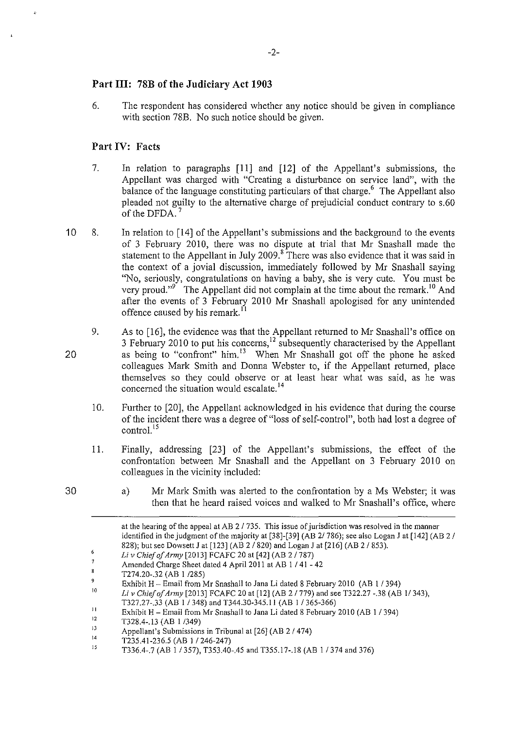### **Part III: 78B of the Judiciary Act 1903**

6. The respondent has considered whether any notice should be given in compliance with section 78B. No such notice should be given.

### **Part IV: Facts**

- 7. In relation to paragraphs [11] and [12] of the Appellant's submissions, the Appellant was charged with "Creating a disturbance on service land", with the balance of the language constituting particulars of that charge.<sup>6</sup> The Appellant also pleaded not guilty to the alternative charge of prejudicial conduct contrary to s.60 of the DFDA.
- 10 8. In relation to [14] of the Appellant's submissions and the background to the events of 3 February 2010, there was no dispute at trial that Mr Snashall made the statement to the Appellant in July 2009.<sup>8</sup> There was also evidence that it was said in the context of a jovial discussion, immediately followed by Mr Snashall saying "No, seriously, congratulations on having a baby, she is very cute. You must be very proud."<sup>9</sup> The Appellant did not complain at the time about the remark.<sup>10</sup> And after the events of 3 February 2010 Mr Snashall apologised for any unintended offence caused by his remark.<sup>1</sup>
	- 9. As to [16], the evidence was that the Appellant returned to Mr Snashall's office on 3 February 2010 to put his concerns,<sup>12</sup> subsequently characterised by the Appellant as being to "confront" him.<sup>13</sup> When Mr Snashall got off the phone he asked colleagues Mark Smith and Donna Webster to, if the Appellant returned, place themselves so they could observe or at least hear what was said, as he was concerned the situation would escalate.<sup>14</sup>
		- 10. Further to [20], the Appellant acknowledged in his evidence that during the course of the incident there was a degree of "loss of self-control", both had lost a degree of control. $15$
	- 11. Finally, addressing [23] of the Appellant's submissions, the effect of the confrontation between Mr Snashall and the Appellant on 3 February 2010 on colleagues in the vicinity included:
- 30

 $\boldsymbol{6}$  $\overline{7}$  $\mathbf{g}$ 

20

a) Mr Mark Smith was aletted to the confrontation by a Ms Webster; it was then that he heard raised voices and walked to Mr Snashall's office, where

**at the hearing of the appeal at AB 2/735. This issue of jurisdiction was resolved in the manner**  identified in the judgment of the majority at [38]-[39] (AB 2/786); see also Logan J at [142] (AB 2/ 828); but see Dowsett J at [123] (AB 2/820) and Logan J at [216] (AB 2/853). *Li* v *Chief of Army* [20 13] FCAFC 20 at [ 42] (AB 2 /787) Amended Charge Sheet dated 4 April2011 at AB 1/41-42 T274.20-.32 (AB I /285)

<sup>9</sup>  Exhibit H- Email from Mr Snashall to Jana Li dated 8 February 2010 (AB 1/394)

<sup>10</sup>  *Li v Chief of Army* [2013] FCAFC 20 at [12] (AB 2/779) and see T322.27 -.38 (AB 1/343),

T327.27-.33 (AB 1/348) and T344.30-345.11 (AB 1/365-366)

II Exhibit H- Email from Mr Snashall to Jana Li dated 8 February 2010 (AB 1/394)

<sup>12</sup>  T328.4-.13 (AB 1/349)

<sup>13</sup>  Appellant's Submissions in Tribunal at [26] (AB 2/474)

<sup>14</sup>  T235.41-236.5 (AB 1/246-247)

<sup>15</sup>  T336.4-.7 (AB 1/357), T353.40-.45 and T355.17-.18 (AB 1/374 and 376)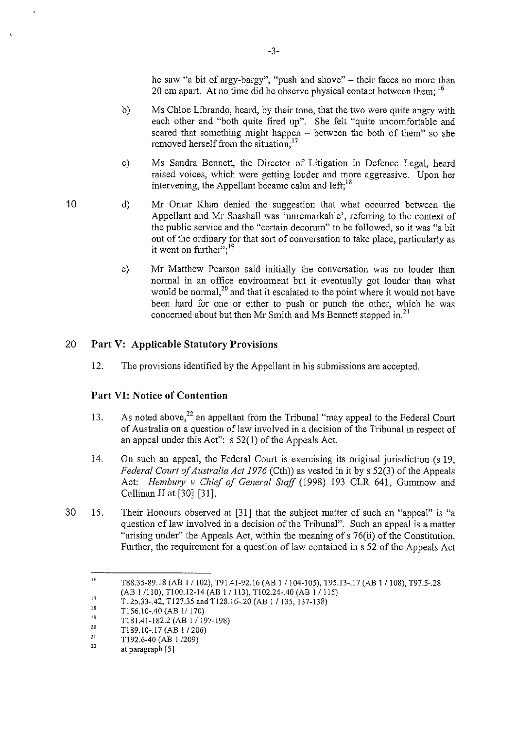he saw "a bit of argy-bargy", "push and shove" - their faces no more than 20 cm apart. At no time did he observe physical contact between them;  $16$ 

- b) Ms Chloe Librando, heard, by their tone, that the two were quite angry with each other and "both quite fired up". She felt "quite uncomfortable and scared that something might happen  $-$  between the both of them" so she removed herself from the situation:<sup>17</sup>
- c) Ms Sandra Bennett, the Director of Litigation in Defence Legal, heard raised voices, which were getting louder and more aggressive. Upon her intervening, the Appellant became calm and left;  $18$
- d) Mr Omar Khan denied the suggestion that what occurred between the Appellant and Mr Snashall was 'unremarkable', referring to the context of the public service and the "certain decorum" to be followed, so it was "a bit out of the ordinary for that sort of conversation to take place, particularly as it went on further";<sup>19</sup>
	- e) Mr Matthew Pearson said initially the conversation was no louder than normal in an office environment but it eventually got louder than what would be normal,<sup>20</sup> and that it escalated to the point where it would not have been hard for one or either to push or punch the other, which he was concerned about but then Mr Smith and Ms Bennett stepped in.<sup>21</sup>

### 20 **Part V: Applicable Statutory Provisions**

12. The provisions identified by the Appellant in his submissions are accepted.

### **Part VI: Notice of Contention**

- 13. As noted above,  $2^2$  an appellant from the Tribunal "may appeal to the Federal Court of Australia on a question of law involved in a decision of the Tribunal in respect of an appeal under this Act": s 52(1) of the Appeals Act.
- 14. On such an appeal, the Federal Court is exercising its original jurisdiction (s 19, *Federal Court of Australia Act 1976* (Cth)) as vested in it by s 52(3) of the Appeals Act: *Hembury v Chief of General Staff* (1998) 193 CLR 641, Gummow and Callinan JJ at [30]-[31].
- 30 15. Their Honours observed at [31] that the subject matter of such an "appeal" is "a question of law involved in a decision of the Tribunal". Such an appeal is a matter "arising under" the Appeals Act, within the meaning of s 7 6(ii) of the Constitution. Further, the requirement for a question of law contained in s 52 of the Appeals Act

J6 T88.35-89.18 (AB I I 102), T91.41-92.16 (AB I I 104-105), T95.13-.17 (AB I I 108), T97.5-.28  $(AB 1/110)$ , T100.12-14  $(AB 1/113)$ , T102.24-.40  $(AB 1/115)$ 

<sup>17</sup>  Tl25.33-.42, Tl27.35 and Tl28.16-.20 (AB I I 135, 137-138)

<sup>18</sup>  T156.10-.40 (AB 1/170)

<sup>19</sup>  T181.41-182.2 (AB 1/197-198)

<sup>20</sup>  T189.10-.17 (AB 1/206)

<sup>21</sup>  T192.6-40 (AB 1/209)

<sup>22</sup>  at paragraph [5]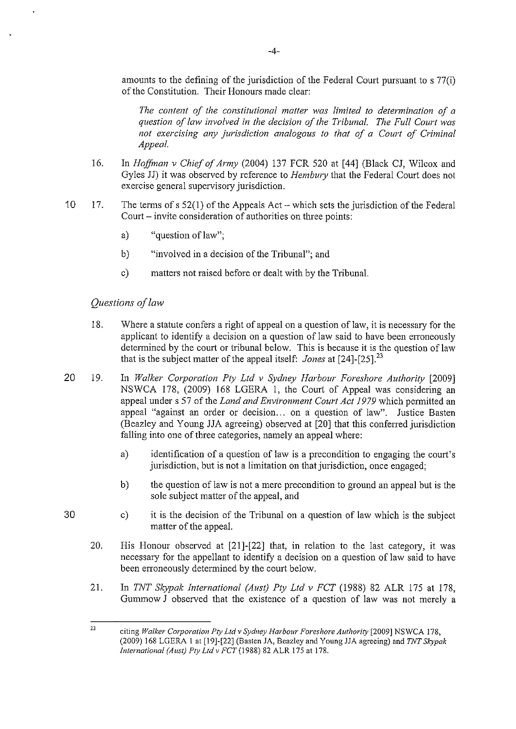amounts to the defining of the jurisdiction of the Federal Court pursuant to s 77(i) of the Constitution. Their Honours made clear:

*The content of the constitutional matter was limited to determination of a question of law involved in the decision of the Tribunal. The Full Court was not exercising any jurisdiction analogous to that of a Court of Criminal Appeal.* 

- 16. In *Hoffman v Chief of Army* (2004) 137 FCR 520 at [44] (Black CJ, Wilcox and Gyles JJ) it was observed by reference to *Hembwy* that the Federal Court does not exercise general supervisory jurisdiction.
- 10 17. The terms of s 52(1) of the Appeals Act- which sets the jurisdiction of the Federal Court – invite consideration of authorities on three points:
	- a) "question of law";
	- b) "involved in a decision of the Tribunal"; and
	- c) matters not raised before or dealt with by the Tribunal.

### *Questions of law*

- 18. Where a statute confers a right of appeal on a question oflaw, it is necessary for the applicant to identify a decision on a question of law said to have been erroneously determined by the court or tribunal below. This is because it is the question of law that is the subject matter of the appeal itself: *Jones* at [24]-[25]. <sup>23</sup>
- 20 19. In *Walker Corporation Pty Ltd v Sydney Harbour Foreshore Authority* [2009] NSWCA 178, (2009) 168 LGERA 1, the Court of Appeal was considering an appeal under s 57 of the *Land and Environment Court Act 1979* which permitted an appeal "against an order or decision... on a question of law". Justice Basten (Beazley and Young JJA agreeing) observed at [20] that this conferred jurisdiction falling into one of three categories, namely an appeal where:
	- a) identification of a question of law is a precondition to engaging the court's jurisdiction, but is not a limitation on that jurisdiction, once engaged;
	- b) the question of law is not a mere precondition to ground an appeal but is the sole subject matter of the appeal, and
	- c) it is the decision of the Tribunal on a question of law which is the subject matter of the appeal.
	- 20. His Honour observed at [21]-[22] that, in relation to the last category, it was necessary for the appellant to identify a decision on a question of law said to have been erroneously determined by the court below.
	- 21. In *TNT Skypak International (Aust) Pty Ltd v FCT* (1988) 82 ALR 175 at 178, Gummow J observed that the existence of a question of law was not merely a

<sup>23</sup>  citing *Walker C01poration Pty Ltd v Sydney Harbour Foreshore Authority* [2009] NSWCA 178, (2009) 168 LGERA I at [19]-[22] (Basten JA, Beazley and Young JJA agreeing) and *TNT Skypak International (Aust) Pty Ltd v FCT* (1988) 82 ALR 175 at 178.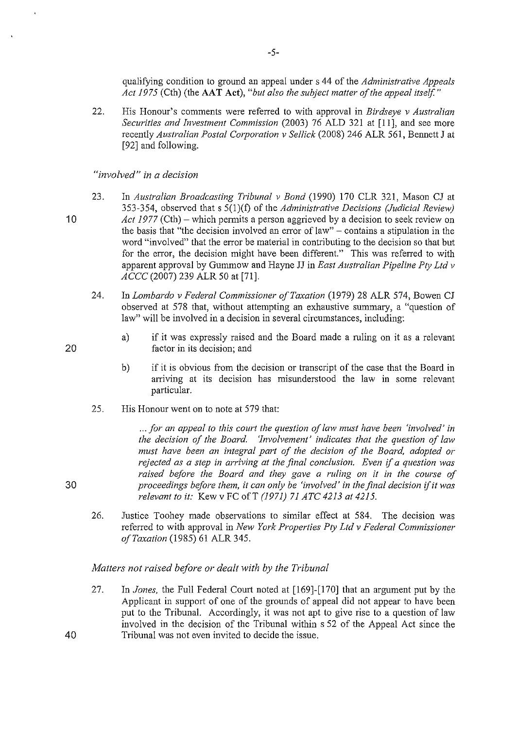qualifying condition to ground an appeal under s 44 of the *Administrative Appeals Act 1975* (Cth) (the **AAT Act),** *"but also the subject matter of the appeal itself"* 

22. His Honour's comments were referred to with approval in *Birdseye v Australian Securities and Investment Commission* (2003) 76 ALD 321 at [11], and see more recently *Australian Postal Corporation v Sellick* (2008) 246 ALR 561, Bennett J at [92] and following.

*"involved" in a decision* 

- 23. In *Australian Broadcasting Tribunal v Bond* (1990) 170 CLR 321, Mason CJ at 353-354, observed that s 5(1)(f) of the *Administrative Decisions (Judicial Review) Act 1977* (Cth) – which permits a person aggrieved by a decision to seek review on the basis that "the decision involved an error of law" - contains a stipulation in the word "involved" that the error be material in contributing to the decision so that but for the error, the decision might have been different." This was referred to with apparent approval by Gummow and Hayne JJ in *East Australian Pipeline Pty Ltd v ACCC* (2007) 239 ALR 50 at [71].
- 24. In *Lombardo v Federal Commissioner of Taxation* (1979) 28 ALR 574, Bowen CJ observed at 578 that, without attempting an exhaustive summary, a "question of law" will be involved in a decision in several circumstances, including:
	- a) if it was expressly raised and the Board made a ruling on it as a relevant factor in its decision; and
	- b) if it is obvious from the decision or transcript of the case that the Board in arriving at its decision has misunderstood the law in some relevant particular.
- 25. His Honour went on to note at 579 that:

... *for an appeal to this court the question of law must have been 'involved' in the decision of the Board. 'Involvement' indicates that the question of law must have been an integral part of the decision of the Board, adopted or rejected as a step in arriving at the final conclusion. Even* if *a question was raised before the Board and they gave a ruling on it in the course of proceedings before them, it can only be 'involved' in the final decision if it was relevant to it:* Kew v FC ofT *(1971) 71 ATC 4213 at 4215.* 

26. Justice Toohey made observations to similar effect at 584. The decision was referred to with approval in *New York Properties Pty Ltd v Federal Commissioner of Taxation* (1985) 61 ALR 345.

#### *Matters not raised before or dealt with by the Tribunal*

27. In *Jones,* the Full Federal Court noted at [169]-[170] that an argument put by the Applicant in support of one of the grounds of appeal did not appear to have been put to the Tribunal. Accordingly, it was not apt to give rise to a question of law involved in the decision of the Tribunal within s 52 of the Appeal Act since the Tribunal was not even invited to decide the issue.

-5-

20

10

30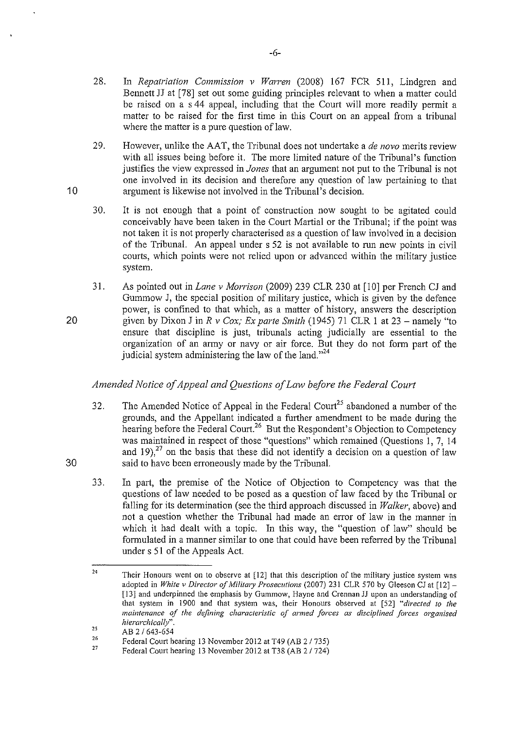- 28. In *Repatriation Commission v Warren* (2008) 167 FCR 511, Lindgren and Bennett JJ at [78] set out some guiding principles relevant to when a matter could be raised on a s 44 appeal, including that the Court will more readily permit a matter to be raised for the first time in this Court on an appeal from a tribunal where the matter is a pure question of law.
- 29. However, unlike the AA T, the Tribunal does not undertake a *de novo* merits review with all issues being before it. The more limited nature of the Tribunal's function justifies the view expressed in *Jones* that an argument not put to the Tribunal is not one involved in its decision and therefore any question of law pertaining to that argument is likewise not involved in the Tribunal's decision.
- 30. It is not enough that a point of construction now sought to be agitated could conceivably have been taken in the Court Martial or the Tribunal; if the point was not taken it is not properly characterised as a question of law involved in a decision of the Tribunal. An appeal under s 52 is not available to run new points in civil courts, which points were not relied upon or advanced within the military justice system.
- 31. As pointed out in *Lane v Morrison* (2009) 239 CLR 230 at [10] per French CJ and Gummow J, the special position of military justice, which is given by the defence power, is confined to that which, as a matter of history, answers the description given by Dixon J in  $R \vee Cox$ ; Ex parte Smith (1945) 71 CLR 1 at 23 – namely "to ensure that discipline is just, tribunals acting judicially are essential to the organization of an army or navy or air force. But they do not form part of the judicial system administering the law of the land."<sup>24</sup>

## *Amended Notice of Appeal and Questions of Law before the Federal Court*

- 32. The Amended Notice of Appeal in the Federal Court<sup>25</sup> abandoned a number of the grounds, and the Appellant indicated a further amendment to be made during the hearing before the Federal Court.<sup>26</sup> But the Respondent's Objection to Competency was maintained in respect of those "questions" which remained (Questions 1, 7, 14 and 19),<sup>27</sup> on the basis that these did not identify a decision on a question of law said to have been erroneously made by the Tribunal.
- 33. In part, the premise of the Notice of Objection to Competency was that the questions of law needed to be posed as a question of law faced by the Tribunal or falling for its determination (see the third approach discussed in *Walker,* above) and not a question whether the Tribunal had made an error of law in the manner in which it had dealt with a topic. In this way, the "question of law" should be formulated in a manner similar to one that could have been referred by the Tribunal under s 51 of the Appeals Act.

10

20

<sup>24</sup>  **Their Honours went on to observe at [12] that this description of the military justice system was**  adopted in *White v Director of Militmy Prosecutions* (2007) 231 CLR 570 by Gleeson CJ at [12]- **[13] and underpinned the emphasis by Gummow, Hayne and Crennan JJ upon an understanding of that system in 1900 and that system was, their Honours observed at [52]** *"directed to the maintenance of the defining characteristic of armed forces as disciplined forces organised hierarchically".* 

*<sup>25</sup>*  AB 2 I 643-654

<sup>26</sup>  Federal Court hearing 13 November 2012 at T49 (AB 2 / 735)

<sup>27</sup>  Federal Court hearing 13 November 2012 at T38 (AB 2/724)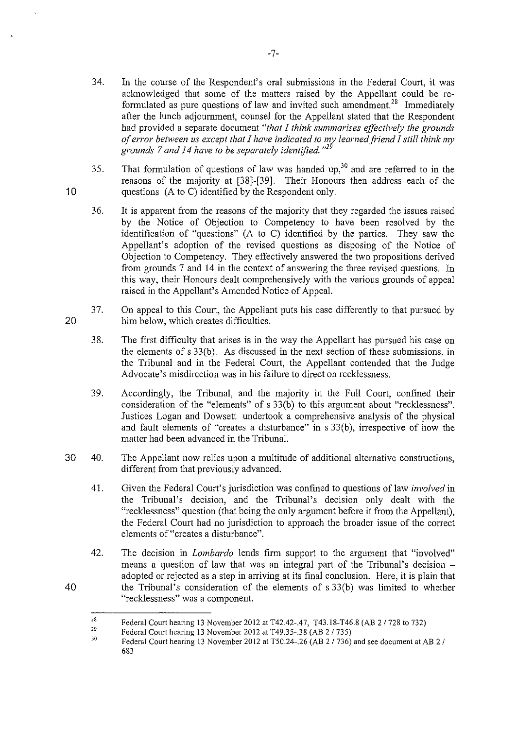- 34. In the course of the Respondent's oral submissions in the Federal Court, it was acknowledged that some of the matters raised by the Appellant could be reformulated as pure questions of law and invited such amendment.<sup>28</sup> Immediately after the lunch adjournment, counsel for the Appellant stated that the Respondent had provided a separate document *"that I think summarises effectively the grounds of error between us except that I have indicated to my learned friend I still think my grounds* 7 *and 14 have to be separately identified. " 2*
- 35. That formulation of questions of law was handed up,<sup>30</sup> and are referred to in the reasons of the majority at [38]-[39]. Their Honours then address each of the questions (A to C) identified by the Respondent only.

10

20

- 36. It is apparent from the reasons of the majority that they regarded the issues raised by the Notice of Objection to Competency to have been resolved by the identification of "questions" (A to C) identified by the parties. They saw the Appellant's adoption of the revised questions as disposing of the Notice of Objection to Competency. They effectively answered the two propositions derived from grounds 7 and 14 in the context of answering the three revised questions. In this way, their Honours dealt comprehensively with the various grounds of appeal raised in the Appellant's Amended Notice of Appeal.
- 37. On appeal to this Court, the Appellant puts his case differently to that pursued by him below, which creates difficulties.
	- 38. The first difficulty that arises is in the way the Appellant has pursued his case on the elements of  $s$  33(b). As discussed in the next section of these submissions, in the Tribunal and in the Federal Court, the Appellant contended that the Judge Advocate's misdirection was in his failure to direct on recklessness.
	- 39. Accordingly, the Tribunal, and the majority in the Full Court, confined their consideration of the "elements" of s 33(b) to this argument about "recklessness". Justices Logan and Dowsett undertook a comprehensive analysis of the physical and fault elements of "creates a disturbance" in s 33(b ), irrespective of how the matter had been advanced in the Tribunal.
- 30 40. The Appellant now relies upon a multitude of additional alternative constructions, different from that previously advanced.
	- 41. Given the Federal Court's jurisdiction was confined to questions of law *involved* in the Tribunal's decision, and the Tribunal's decision only dealt with the "recklessness" question (that being the only argument before it from the Appellant), the Federal Court had no jurisdiction to approach the broader issue of the correct elements of"creates a disturbance".
	- 42. The decision in *Lombardo* lends firm support to the argument that "involved" means a question of law that was an integral part of the Tribunal's decision  $$ adopted or rejected as a step in arriving at its final conclusion. Here, it is plain that the Tribunal's consideration of the elements of s 33(b) was limited to whether "recklessness" was a component.

<sup>28</sup>  29 Federal Court hearing 13 November 2012 at T42.42-.47, T43.18-T46.8 (AB 2 / 728 to 732)

Federal Court hearing 13 November 2012 at T49.35-.38 (AB 2 / 735)

<sup>30</sup>  Federal Court hearing 13 November 2012 at T50.24-.26 (AB 2 / 736) and see document at AB 2 / 683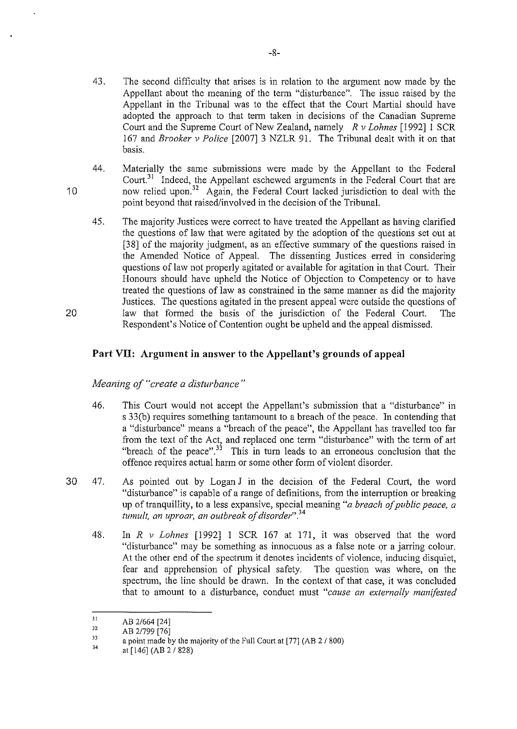- 43. The second difficulty that arises is in relation to the argument now made by the Appellant about the meaning of the term "disturbance". The issue raised by the Appellant in the Tribunal was to the effect that the Court Martial should have adopted the approach to that term taken in decisions of the Canadian Supreme Court and the Supreme Court of New Zealand, namely *R v Lohnes* [1992]1 SCR 167 and *Brooker v Police* [2007] 3 NZLR 91. The Tribunal dealt with it on that basis.
- 44. Materially the same submissions were made by the Appellant to the Federal Court.<sup>31</sup> Indeed, the Appellant eschewed arguments in the Federal Court that are now relied upon.<sup>32</sup> Again, the Federal Court lacked jurisdiction to deal with the point beyond that raised/involved in the decision of the Tribunal.
- 45. The majority Justices were correct to have treated the Appellant as having clarified the questions of law that were agitated by the adoption of the questions set out at [38] of the majority judgment, as an effective summary of the questions raised in the Amended Notice of Appeal. The dissenting Justices erred in considering questions of law not properly agitated or available for agitation in that Court. Their Honours should have upheld the Notice of Objection to Competency or to have treated the questions of law as constrained in the same manner as did the majority Justices. The questions agitated in the present appeal were outside the questions of law that formed the basis of the jurisdiction of the Federal Court. The Respondent's Notice of Contention ought be upheld and the appeal dismissed.

### **Part VII: Argument in answer to the Appellant's grounds of appeal**

#### *Meaning of "create a disturbance"*

10

- 46. This Court would not accept the Appellant's submission that a "disturbance" in s 33(b) requires something tantamount to a breach of the peace. In contending that a "disturbance" means a "breach of the peace", the Appellant has travelled too far from the text of the Act, and replaced one term "disturbance" with the term of art "breach of the peace". $33$  This in turn leads to an erroneous conclusion that the offence requires actual harm or some other form of violent disorder.
- 30 47. As pointed out by Logan J in the decision of the Federal Court, the word "disturbance" is capable of a range of definitions, from the interruption or breaking up of tranquillity, to a less expansive, special meaning *"a breach of public peace, a tumult, an uproar, an outbreak of disorder"* <sup>34</sup>
	- 48. In *R v Lohnes* [1992] I SCR 167 at 171, it was observed that the word "disturbance" may be something as innocuous as a false note or a jarring colour. At the other end of the spectrum it denotes incidents of violence, inducing disquiet, fear and apprehension of physical safety. The question was where, on the spectrum, the line should be drawn. In the context of that case, it was concluded that to amount to a disturbance, conduct must *"cause an externally manifested*

<sup>31</sup>  32 AB 21664 [24]

<sup>33</sup>  AB 2/799 [76]

<sup>34</sup>  a point made by the majority of the Full Court at [77] (AB 2 / 800)

at [146] (AB 2 / 828)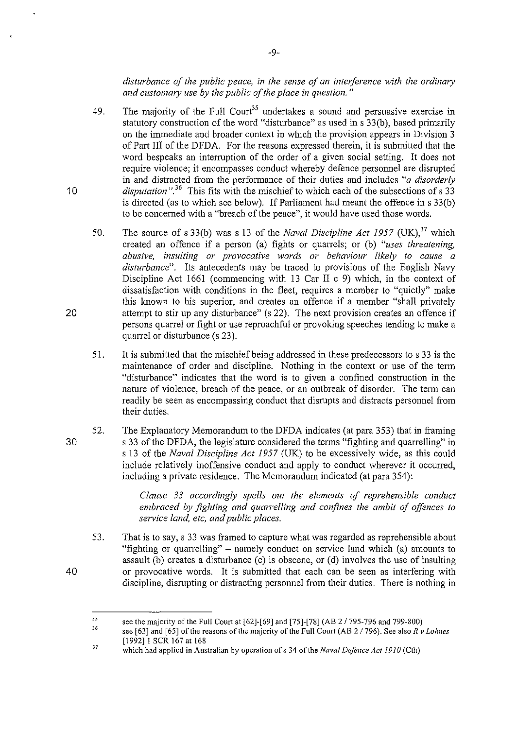disturbance of the public peace, in the sense of an interference with the ordinary *and custommy use by the public of the place in question.* "

49. The majority of the Full Court<sup>35</sup> undertakes a sound and persuasive exercise in statutory construction of the word "disturbance" as used in s 33(b), based primarily on the immediate and broader context in which the provision appears in Division 3 of Part III of the DFDA. For the reasons expressed therein, it is submitted that the word bespeaks an interruption of the order of a given social setting. It does not require violence; it encompasses conduct whereby defence personnel are disrupted in and distracted from the performance of their duties and includes *"a disorderly*  disputation<sup>".36</sup> This fits with the mischief to which each of the subsections of s 33 is directed (as to which see below). If Parliament had meant the offence in s 33(b) to be concerned with a "breach of the peace", it would have used those words.

10

20

40

- 50. The source of s 33(b) was s 13 of the *Naval Discipline Act 1957* (UK),  $37$  which created an offence if a person (a) fights or quarrels; or (b) *"uses threatening, abusive, insulting or provocative words or behaviour likely to cause a disturbance".* Its antecedents may be traced to provisions of the English Navy Discipline Act 1661 (commencing with 13 Car II c 9) which, in the context of dissatisfaction with conditions in the fleet, requires a member to "quietly" make this known to his superior, and creates an offence if a member "shall privately attempt to stir up any disturbance" (s 22). The next provision creates an offence if persons quarrel or fight or use reproachful or provoking speeches tending to make a quarrel or disturbance (s 23).
- 51. It is submitted that the mischief being addressed in these predecessors to s 33 is the maintenance of order and discipline. Nothing in the context or use of the term "disturbance" indicates that the word is to given a confined construction in the nature of violence, breach of the peace, or an outbreak of disorder. The term can readily be seen as encompassing conduct that disrupts and distracts personnel from their duties.
- 30 52. The Explanatory Memorandum to the DFDA indicates (at para 353) that in framing s 33 of the DFDA, the legislature considered the terms "fighting and quarrelling" in s 13 of the *Naval Discipline Act 1957* (UK) to be excessively wide, as this could include relatively inoffensive conduct and apply to conduct wherever it occurred, including a private residence. The Memorandum indicated (at para 354):

*Clause 33 accordingly spells out the elements of reprehensible conduct embraced by fighting and quarrelling and confines the ambit of offences to service land, etc, and public places.* 

53. That is to say, s 33 was framed to capture what was regarded as reprehensible about "fighting or quarrelling" - namely conduct on service land which (a) amounts to assault (b) creates a disturbance (c) is obscene, or (d) involves the use of insulting or provocative words. It is submitted that each can be seen as interfering with discipline, disrupting or distracting personnel from their duties. There is nothing in

<sup>35</sup>  36 see the majority of the Full Court at  $[62]$ - $[69]$  and  $[75]$ - $[78]$  (AB 2  $/795$ -796 and 799-800)

see [63] and [65] of the reasons of the majority of the Full Court (AB 2 *I* 796). See also *R v Lohnes*  [1992] 1 SCR 167 at 168

<sup>37</sup>  which had applied in Australian by operation of s 34 of the *Naval Defence Act 1910* (Cth)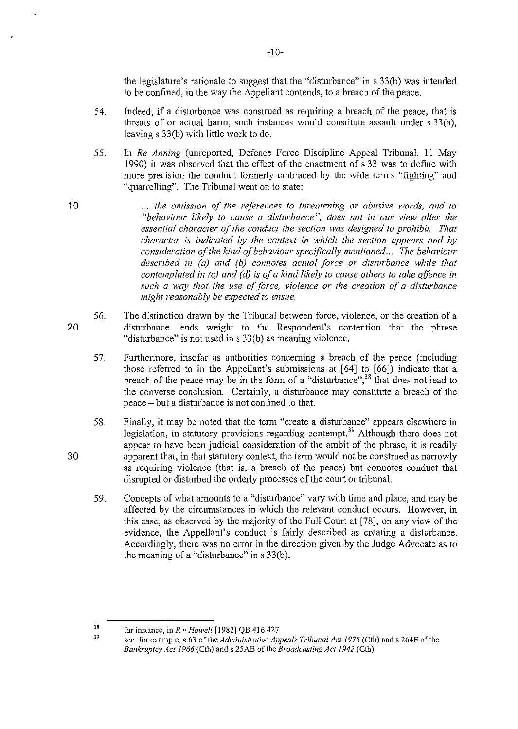the legislature's rationale to suggest that the "disturbance" ins 33(b) was intended to be confined, in the way the Appellant contends, to a breach of the peace.

- 54. Indeed, if a disturbance was construed as requiring a breach of the peace, that is threats of or actual harm, such instances would constitute assault under s 33(a), leavings 33(b) with little work to do.
- 55. In *Re Anning* (unreported, Defence Force Discipline Appeal Tribunal, 11 May 1990) it was observed that the effect of the enactment of s 33 was to define with more precision the conduct formerly embraced by the wide terms "fighting" and "quarrelling". The Tribunal went on to state:
	- ... *the omission of the references to threatening or abusive words, and to "behaviour likely to cause a disturbance", does not in our view alter the essential character of the conduct the section was designed to prohibit. That character is indicated by the context in which the section appears and by consideration of the kind of behaviour specifically mentioned... The behaviour*  described in (a) and (b) connotes actual force or disturbance while that *contemplated in (c) and (d) is of a kind likely to cause others to take offence in such a way that the use of force, violence or the creation of a disturbance might reasonably be expected to ensue.*
- 56. The distinction drawn by the Tribunal between force, violence, or the creation of a disturbance lends weight to the Respondent's contention that the phrase "disturbance" is not used in s 33(b) as meaning violence.
	- 57. Furthermore, insofar as authorities concerning a breach of the peace (including those referred to in the Appellant's submissions at [64] to [66]) indicate that a breach of the peace may be in the form of a "disturbance",<sup>38</sup> that does not lead to the converse conclusion. Certainly, a disturbance may constitute a breach of the peace - but a disturbance is not confined to that.
	- 58. Finally, it may be noted that the term "create a disturbance" appears elsewhere in legislation, in statutory provisions regarding contempt.<sup>39</sup> Although there does not appear to have been judicial consideration of the ambit of the phrase, it is readily apparent that, in that statutory context, the term would not be construed as narrowly as requiring violence (that is, a breach of the peace) but connotes conduct that disrupted or disturbed the orderly processes of the court or tribunal.
		- 59. Concepts of what amounts to a "disturbance" vary with time and place, and may be affected by the circumstances in which the relevant conduct occurs. However, in this case, as observed by the majority of the Full Court at [78], on any view of the evidence, the Appellant's conduct is fairly described as creating a disturbance. Accordingly, there was no error in the direction given by the Judge Advocate as to the meaning of a "disturbance" in s 33(b).

20

<sup>38</sup>  39 for instance, in *R v Howell* [1982) QB 416 427

see, for example, s 63 *of* the *Administrative Appeals Tribunal Act 1975* (Cth) and s 264E of the *Bankruptcy Act 1966* (Cth) and s 25AB of the *Broadcasting Act 1942* (Cth)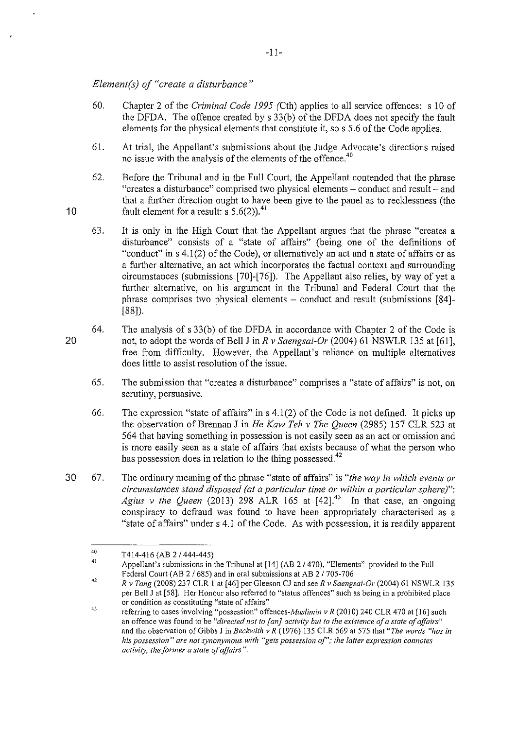*Element(s) of "create a disturbance"* 

- 60. Chapter 2 of the *Criminal Code 1995 (Cth)* applies to all service offences: s 10 of the DFDA. The offence created by s 33(b) of the DFDA does not specify the fault elements for the physical elements that constitute it, so s 5.6 of the Code applies.
- 61. At trial, the Appellant's submissions about the Judge Advocate's directions raised no issue with the analysis of the elements of the offence.<sup>40</sup>
- 62. Before the Tribunal and in the Full Court, the Appellant contended that the phrase "creates a disturbance" comprised two physical elements  $-$  conduct and result  $-$  and that a further direction ought to have been give to the panel as to recklessness (the fault element for a result:  $s$  5.6(2)).<sup>41</sup>
- 63. It is only in the High Court that the Appellant argues that the phrase "creates a disturbance" consists of a "state of affairs" (being one of the definitions of "conduct" in s 4.1(2) of the Code), or alternatively an act and a state of affairs or as a further alternative, an act which incorporates the factual context and surrounding circumstances (submissions [70]-[76]). The Appellant also relies, by way of yet a further alternative, on his argument in the Tribunal and Federal Court that the phrase comprises two physical elements - conduct and result (submissions [84]- [88]).
- 64. The analysis of s 33(b) of the DFDA in accordance with Chapter 2 of the Code is not, to adopt the words of Bell J in *R v Saengsai-Or* (2004) 61 NSWLR 135 at [61], free from difficulty. However, the Appellant's reliance on multiple alternatives does little to assist resolution of the issue.
	- 65. The submission that "creates a disturbance" comprises a "state of affairs" is not, on scrutiny, persuasive.
	- 66. The expression "state of affairs" ins 4.1(2) of the Code is not defined. It picks up the observation of Brennan J in *He Kaw Teh v The Queen* (2985) 157 CLR 523 at 564 that having something in possession is not easily seen as an act or omission and is more easily seen as a state of affairs that exists because of what the person who has possession does in relation to the thing possessed.<sup>42</sup>
- 30 67. The ordinary meaning of the phrase "state of affairs" is *"the way in which events or circumstances stand disposed (at a particular time or within a particular sphere)": Agius v the Queen* (2013) 298 ALR 165 at [42].43 In that case, an ongoing conspiracy to defraud was found to have been appropriately characterised as a "state of affairs" under s 4.1 of the Code. As with possession, it is readily apparent

20

<sup>40</sup>  T414-416 (AB 2/444-445)

<sup>41</sup>  Appellant's submissions in the Tribunal at [14] (AB 2 / 470), "Elements" provided to the Full Federal Court (AB 2 / 685) and in oral submissions at AB 2 / 705-706

<sup>42</sup>  *R v Tang* (2008) 237 CLR I at [46] per Gleeson CJ and seeR *v Saengsai-Or* (2004) 61 NSWLR 135 **per Bell J at [58]. Her Honour also referred to "status offences" such as being in a prohibited place or condition as constituting "state of affairs"** 

<sup>43</sup>  referring to cases involving "possession" offences-*Muslimin v R* (2010) 240 CLR 470 at [16] such **an offence was found to be** *"directed not to [an] activity but to the existence of a state of affairs"*  and the observation of Gibbs J in *Beckwith v R* (1976) 135 CLR 569 at 575 that *"The words "has in his possession" are not synonymous with "gets possession of"; the latter expression connotes activity, the former a state of affairs".*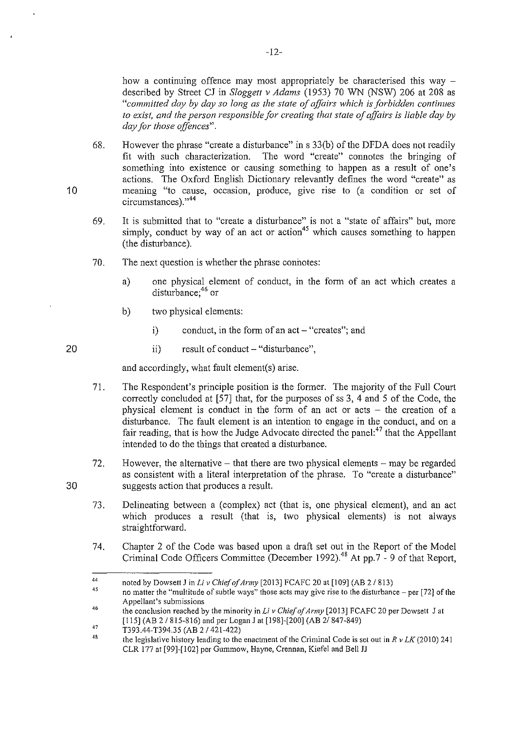how a continuing offence may most appropriately be characterised this way  $$ described by Street CJ in *Sloggett v Adams* (1953) 70 WN (NSW) 206 at 208 as *"committed day by day so long as the state of affairs which is forbidden continues to exist, and the person responsible for creating that state of qffairs is liable day by day for those offences".* 

- 68. However the phrase "create a disturbance" in s 33(b) of the DFDA does not readily fit with such characterization. The word "create" connotes the bringing of something into existence or causing something to happen as a result of one's actions. The Oxford English Dictionary relevantly defines the word "create" as meaning "to cause, occasion, produce, give rise to (a condition or set of circumstances)."<sup>44</sup>
- 69. It is submitted that to "create a disturbance" is not a "state of affairs" but, more simply, conduct by way of an act or action<sup>45</sup> which causes something to happen (the disturbance).
- 70. The next question is whether the phrase connotes:
	- a) one physical element of conduct, in the form of an act which creates a disturbance;<sup>46</sup> or
	- b) two physical elements:
		- i) conduct, in the form of an act "creates"; and
		- ii) result of conduct "disturbance",

and accordingly, what fault element(s) arise.

- 71. The Respondent's principle position is the former. The majority of the Full Court correctly concluded at [57] that, for the purposes of ss 3, 4 and 5 of the Code, the physical element is conduct in the form of an act or  $acts - the creation of a$ disturbance. The fault element is an intention to engage in the conduct, and on a fair reading, that is how the Judge Advocate directed the panel: $47$  that the Appellant intended to do the things that created a disturbance.
- 72. However, the alternative  $-$  that there are two physical elements  $-$  may be regarded as consistent with a literal interpretation of the phrase. To "create a disturbance" suggests action that produces a result.
- 73. Delineating between a (complex) act (that is, one physical element), and an act which produces a result (that is, two physical elements) is not always straightforward.
- 74. Chapter 2 of the Code was based upon a draft set out in the Report of the Model Criminal Code Officers Committee (December 1992).<sup>48</sup> At pp.7 - 9 of that Report,

20

30

<sup>44</sup>  noted by Dowsett J in *Li v Chief of Army* [2013] FCAFC 20 at [109] (AB 2/813)

<sup>45</sup>  **no matter the "multitude of subtle ways" those acts may give rise to the disturbance- per [72] of the Appellant's submissions** 

<sup>46</sup>  47 the conclusion reached by the minority in *Li v Chief of Army* [2013] FCAFC 20 per Dowsett 1 at [115] (AB 2 / 815-816) and per Logan J at [198]-[200] (AB 2/ 847-849)

T393.44-T394.35 (AB 2 / 421-422)

<sup>48</sup>  the legislative history leading to the enactment of the Criminal Code is set out in  $R v LK (2010) 241$ CLR 177 at [99]-[102] per Gummow, Hayne, Crennan, Kiefel and Bell JJ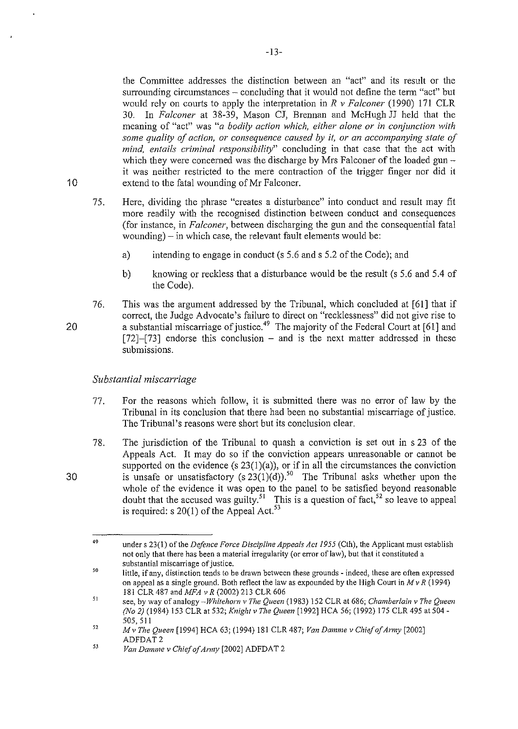the Committee addresses the distinction between an "act" and its result or the surrounding circumstances – concluding that it would not define the term "act" but would rely on courts to apply the interpretation in *R v Falconer* (1990) 171 CLR 30. In *Falconer* at 38-39, Mason CJ, Brennan and McHugh JJ held that the meaning of "act" was "*a bodily action which, either alone or in conjunction with some quality of action, or consequence caused by it, or an accompanying state of mind, entails criminal responsibility"* concluding in that case that the act with which they were concerned was the discharge by Mrs Falconer of the loaded gun it was neither restricted to the mere contraction of the trigger finger nor did it extend to the fatal wounding of Mr Falconer.

- 75. Here, dividing the phrase "creates a disturbance" into conduct and result may fit more readily with the recognised distinction between conduct and consequences (for instance, in *Fa/caner,* between discharging the gun and the consequential fatal  $wounding)$  - in which case, the relevant fault elements would be:
	- a) intending to engage in conduct (s 5.6 and s 5.2 of the Code); and
	- b) knowing or reckless that a disturbance would be the result (s 5.6 and 5.4 of the Code).

20

30

10

76. This was the argument addressed by the Tribunal, which concluded at [61] that if correct, the Judge Advocate's failure to direct on "recklessness" did not give rise to a substantial miscarriage of justice.<sup>49</sup> The majority of the Federal Court at [61] and  $[72]$ - $[73]$  endorse this conclusion – and is the next matter addressed in these submissions.

#### *Substantial miscarriage*

- 77. For the reasons which follow, it is submitted there was no error of law by the Tribunal in its conclusion that there had been no substantial miscarriage of justice. The Tribunal's reasons were short but its conclusion clear.
- 78. The jurisdiction of the Tribunal to quash a conviction is set out in s 23 of the Appeals Act. It may do so if the conviction appears unreasonable or cannot be supported on the evidence (s  $23(1)(a)$ ), or if in all the circumstances the conviction is unsafe or unsatisfactory (s  $23(1)(d)$ ).<sup>50</sup> The Tribunal asks whether upon the whole of the evidence it was open to the panel to be satisfied beyond reasonable doubt that the accused was guilty.<sup>51</sup> This is a question of fact,<sup>52</sup> so leave to appeal is required: s 20(1) of the Appeal Act.<sup>53</sup>

<sup>49</sup>  under s 23(1) of the *Defence Force Discipline Appeals Act 1955* (Cth), the Applicant must establish **not only that there has been a material irregularity (or error oflaw), but that it constituted a substantial miscarriage of justice.** 

<sup>50</sup>  **little, if any, distinction tends to be drawn between these grounds- indeed, these are often expressed**  on appeal as a single ground. Both reflect the law as expounded by the High Court in *M v R* (1994) 181 CLR 487 and *MFA v R* (2002) 213 CLR 606

*<sup>5</sup>* I see, by way of analogy *-Whitehorn* v *The Queen* ( 1983) 152 CLR at 686; *Chamberlain v The Queen (No 2)* (1984) 153 CLR at 532; *Knight* v *The Queen* [1992] HCA 56; (1992) 175 CLR 495 at504- 505, 511

<sup>52</sup>  *M v The Queen* [1994] HCA 63; (1994) 181 CLR 487; *VanDamme v Chief of Army* [2002] ADFDAT2

<sup>53</sup>  *Van Damme v Chief of Army* [2002] ADFDAT 2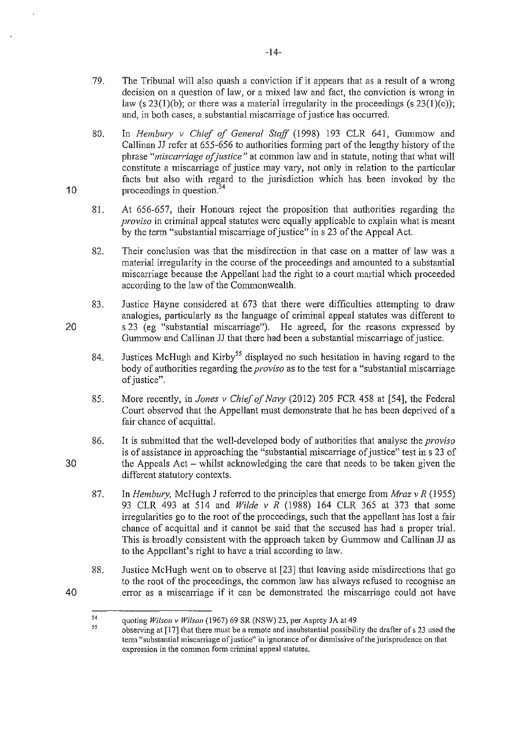- 79. The Tribunal will also quash a conviction if it appears that as a result of a wrong decision on a question of law, or a mixed law and fact, the conviction is wrong in law (s  $23(1)(b)$ ; or there was a material irregularity in the proceedings (s  $23(1)(c)$ ); and, in both cases, a substantial miscarriage of justice has occurred.
- 80. In *Hembury v Chief of General Staff* (1998) 193 CLR 641, Gummow and Callinan JJ refer at 655-656 to authorities forming part of the lengthy history of the phrase *"miscarriage ofjustice"* at common law and in statute, noting that what will constitute a miscarriage of justice may vary, not only in relation to the particular facts but also with regard to the jurisdiction which has been invoked by the proceedings in question.<sup>54</sup>
- 81. At 656-657, their Honours reject the proposition that authorities regarding the *proviso* in criminal appeal statutes were equally applicable to explain what is meant by the term "substantial miscarriage of justice" in s 23 of the Appeal Act.
- 82. Their conclusion was that the misdirection in that case on a matter of law was a material irregularity in the course of the proceedings and amounted to a substantial miscarriage because the Appellant had the right to a court martial which proceeded according to the law of the Commonwealth.
- 83. Justice Hayne considered at 673 that there were difficulties attempting to draw analogies, particularly as the language of criminal appeal statutes was different to s 23 (eg "substantial miscarriage"). He agreed, for the reasons expressed by Gummow and Callinan JJ that there had been a substantial miscarriage of justice.
- 84. Justices McHugh and Kirby<sup>55</sup> displayed no such hesitation in having regard to the body of authorities regarding the *proviso* as to the test for a "substantial miscarriage of justice".
- 85. More recently, in *Jones v Chief of Navy* (2012) 205 FCR 458 at [54], the Federal Court observed that the Appellant must demonstrate that he has been deprived of a fair chance of acquittal.
- 86. It is submitted that the well-developed body of authorities that analyse the *proviso*  is of assistance in approaching the "substantial miscarriage of justice" test in s 23 of the Appeals  $Act - whilst acknowledge the care that needs to be taken given the$ different statutory contexts.
	- 87. In *Hembwy,* McHugh J referred to the principles that emerge from *Mraz v R* (1955) 93 CLR 493 at 514 and *Wilde v R* (1988) 164 CLR 365 at 373 that some irregularities go to the root of the proceedings, such that the appellant has lost a fair chance of acquittal and it cannot be said that the accused has had a proper trial. This is broadly consistent with the approach taken by Gummow and Callinan JJ as to the Appellant's right to have a trial according to law.
	- 88. Justice McHugh went on to observe at [23] that leaving aside misdirections that go to the root of the proceedings, the common law has always refused to recognise an error as a miscarriage if it can be demonstrated the miscarriage could not have

20

10

30

<sup>54</sup>  55 quoting *Wilson v Wilson* (1967) 69 SR (NSW) 23, per Asprey JA at 49

observing at [ 17] that there must be a remote and insubstantial possibility the drafter of s 23 used the **term "substantial miscarriage of justice" in ignorance of or dismissive of the jurisprudence on that expression in the common form criminal appeal statutes.**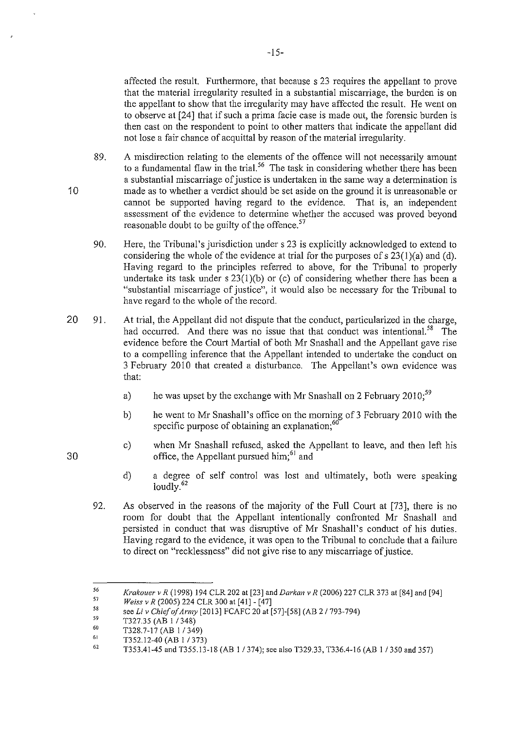affected the result. Furthermore, that because s 23 requires the appellant to prove that the material irregularity resulted in a substantial miscarriage, the burden is on the appellant to show that the irregularity may have affected the result. He went on to observe at [24] that if such a prima facie case is made out, the forensic burden is then cast on the respondent to point to other matters that indicate the appellant did not lose a fair chance of acquittal by reason of the material irregularity.

- 89. A misdirection relating to the elements of the offence wiii not necessarily amount to a fundamental flaw in the trial.<sup>56</sup> The task in considering whether there has been a substantial miscarriage of justice is undertaken in the same way a determination is made as to whether a verdict should be set aside on the ground it is unreasonable or cannot be supported having regard to the evidence. That is, an independent assessment of the evidence to determine whether the accused was proved beyond reasonable doubt to be guilty of the offence.<sup>57</sup>
- 90. Here, the Tribunal's jurisdiction under s 23 is explicitly acknowledged to extend to considering the whole of the evidence at trial for the purposes of  $s$  23(1)(a) and (d). Having regard to the principles referred to above, for the Tribunal to properly undertake its task under  $s$  23(1)(b) or (c) of considering whether there has been a "substantial miscarriage of justice", it would also be necessary for the Tribunal to have regard to the whole of the record.
- 20 91. At trial, the Appellant did not dispute that the conduct, particularized in the charge, had occurred. And there was no issue that that conduct was intentional.<sup>58</sup> The evidence before the Court Martial of both Mr Snashall and the Appellant gave rise to a compelling inference that the Appellant intended to undertake the conduct on 3 February 2010 that created a disturbance. The Appellant's own evidence was that:
	- a) he was upset by the exchange with Mr Snashall on 2 February  $2010$ ;<sup>59</sup>
	- b) he went to Mr Snashall's office on the morning of 3 February 2010 with the specific purpose of obtaining an explanation; $60$
	- c) when Mr Snashall refused, asked the Appellant to leave, and then left his office, the Appellant pursued him; 61 and
	- d) a degree of self control was lost and ultimately, both were speaking loudly. $62$
	- 92. As observed in the reasons of the majority of the Full Court at [73], there is no room for doubt that the Appellant intentionally confronted Mr Snashall and persisted in conduct that was disruptive of Mr Snashall's conduct of his duties. Having regard to the evidence, it was open to the Tribunal to conclude that a failure to direct on "recklessness" did not give rise to any miscarriage of justice.

10

*<sup>56</sup>  Krakouer v R* (1998) 194 CLR 202 at [23] and *Darkan v R* (2006) 227 CLR 373 at [84] and [94]

<sup>57</sup>  *Weiss v R* (2005) 224 CLR 300 at [41]- [47]

<sup>58</sup>  see *Li v Chief of Army* [2013] FCAFC 20 at [57]-[ 58] (AB 2 *I* 793-794)

<sup>59</sup>  60 T327.35 (AB 1/348)

T328.7-17 (AB 1/349)

<sup>61</sup>  T352.12-40 (AB 1/373)

<sup>62</sup>  T353.41-45 and T355.13-18 (AB 1 / 374); see also T329.33, T336.4-16 (AB 1 / 350 and 357)